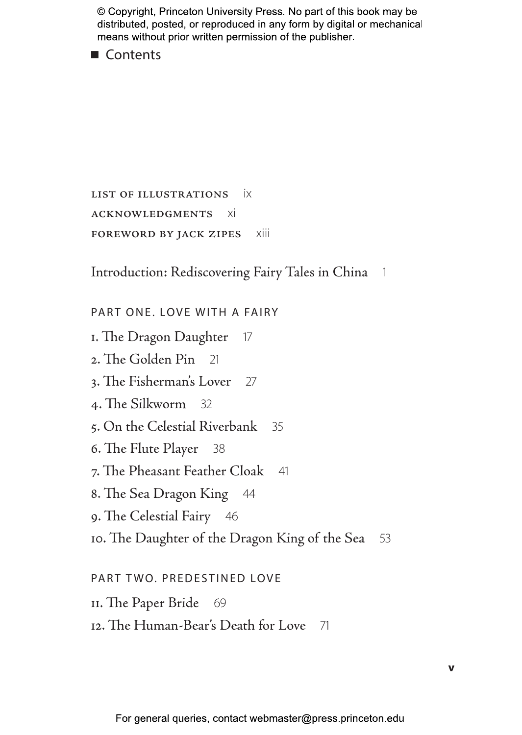■ Contents

list of illustrations ix acknowledgments xi foreword by jack zipes xiii

Introduction: Rediscovering Fairy Tales in China 1

PART ONE. LOVE WITH A FAIRY

1. The Dragon Daughter 17

2. The Golden Pin 21

3. The Fisherman's Lover 27

4. The Silkworm 32

5. On the Celestial Riverbank 35

6. The Flute Player 38

7. The Pheasant Feather Cloak 41

8. The Sea Dragon King 44

9. The Celestial Fairy 46

10. The Daughter of the Dragon King of the Sea 53

### PART TWO. PREDESTINED LOVE

11. The Paper Bride 69 12. The Human-Bear's Death for Love 71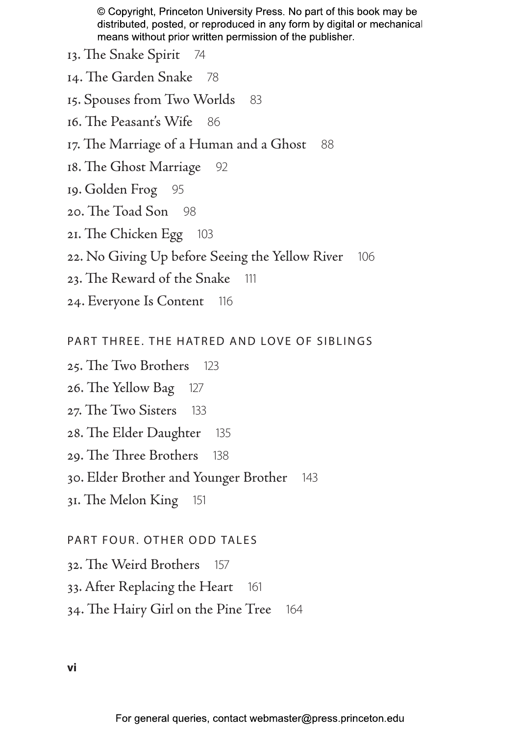- 13. The Snake Spirit 74 14. The Garden Snake 78 15. Spouses from Two Worlds 83 16. The Peasant's Wife 86 17. The Marriage of a Human and a Ghost 88 18. The Ghost Marriage 92 19. Golden Frog 95 20. The Toad Son 98
- 21. The Chicken Egg 103
- 22. No Giving Up before Seeing the Yellow River 106
- 23. The Reward of the Snake 111
- 24. Everyone Is Content 116

#### PART THREE. THE HATRED AND LOVE OF SIBLINGS

- 25. The Two Brothers 123
- 26. The Yellow Bag 127
- 27. The Two Sisters 133
- 28. The Elder Daughter 135
- 29. The Three Brothers 138
- 30. Elder Brother and Younger Brother 143
- 31. The Melon King 151

#### PART FOUR. OTHER ODD TALES

- 32. The Weird Brothers 157
- 33. After Replacing the Heart 161
- 34. The Hairy Girl on the Pine Tree 164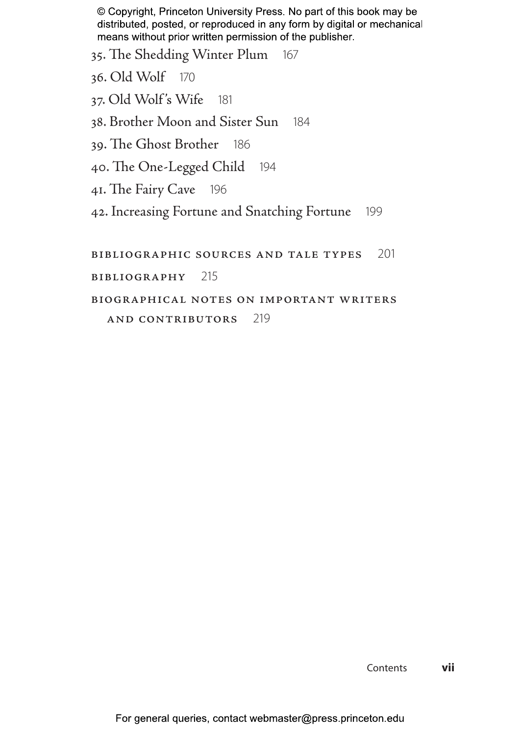35. The Shedding Winter Plum 167

36. Old Wolf 170

37. Old Wolf's Wife 181

38. Brother Moon and Sister Sun 184

39. The Ghost Brother 186

40. The One-Legged Child 194

41. The Fairy Cave 196

42. Increasing Fortune and Snatching Fortune 199

bibliographic sources and tale types 201

#### bibliography 215

# biographical notes on important writers

and contributors 219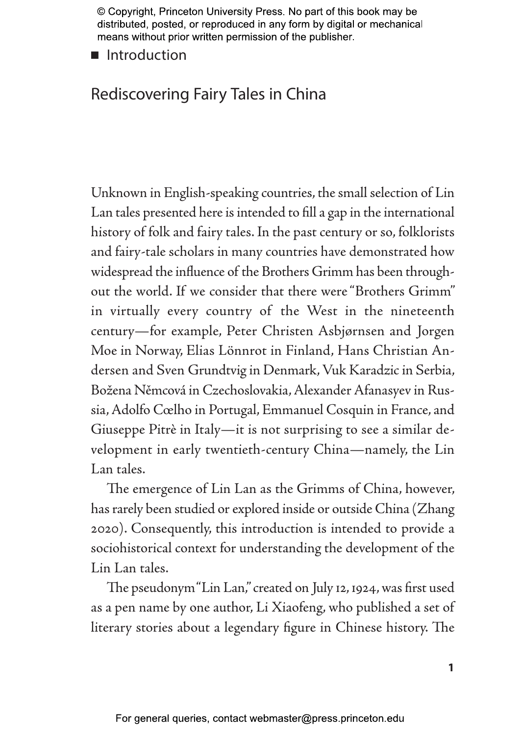■ Introduction

## Rediscovering Fairy Tales in China

Unknown in English-speaking countries, the small selection of Lin Lan tales presented here is intended to fill a gap in the international history of folk and fairy tales. In the past century or so, folklorists and fairy-tale scholars in many countries have demonstrated how widespread the influence of the Brothers Grimm has been throughout the world. If we consider that there were "Brothers Grimm" in virtually every country of the West in the nineteenth century—for example, Peter Christen Asbjørnsen and Jorgen Moe in Norway, Elias Lönnrot in Finland, Hans Christian Andersen and Sven Grundtvig in Denmark, Vuk Karadzic in Serbia, Božena Němcová in Czechoslovakia, Alexander Afanasyev in Russia, Adolfo Cœlho in Portugal, Emmanuel Cosquin in France, and Giuseppe Pitrè in Italy—it is not surprising to see a similar development in early twentieth-century China—namely, the Lin Lan tales.

The emergence of Lin Lan as the Grimms of China, however, has rarely been studied or explored inside or outside China (Zhang 2020). Consequently, this introduction is intended to provide a sociohistorical context for understanding the development of the Lin Lan tales.

The pseudonym "Lin Lan," created on July 12, 1924, was first used as a pen name by one author, Li Xiaofeng, who published a set of literary stories about a legendary figure in Chinese history. The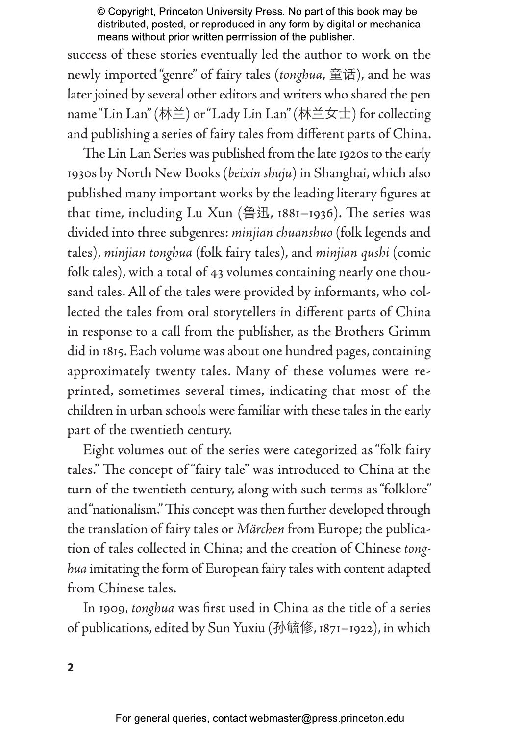success of these stories eventually led the author to work on the newly imported "genre" of fairy tales (*tonghua*, 童话), and he was later joined by several other editors and writers who shared the pen name "Lin Lan" (林兰) or "Lady Lin Lan" (林兰女士) for collecting and publishing a series of fairy tales from different parts of China.

The Lin Lan Series was published from the late 1920s to the early 1930s by North New Books (*beixin shuju*) in Shanghai, which also published many important works by the leading literary figures at that time, including Lu Xun (鲁迅, 1881–1936). The series was divided into three subgenres: *minjian chuanshuo* (folk legends and tales), *minjian tonghua* (folk fairy tales), and *minjian qushi* (comic folk tales), with a total of 43 volumes containing nearly one thousand tales. All of the tales were provided by informants, who collected the tales from oral storytellers in different parts of China in response to a call from the publisher, as the Brothers Grimm did in 1815. Each volume was about one hundred pages, containing approximately twenty tales. Many of these volumes were reprinted, sometimes several times, indicating that most of the children in urban schools were familiar with these tales in the early part of the twentieth century.

Eight volumes out of the series were categorized as "folk fairy tales." The concept of "fairy tale" was introduced to China at the turn of the twentieth century, along with such terms as "folklore" and "nationalism." This concept was then further developed through the translation of fairy tales or *Märchen* from Europe; the publication of tales collected in China; and the creation of Chinese *tonghua* imitating the form of European fairy tales with content adapted from Chinese tales.

In 1909, *tonghua* was first used in China as the title of a series of publications, edited by Sun Yuxiu (孙毓修, 1871–1922), in which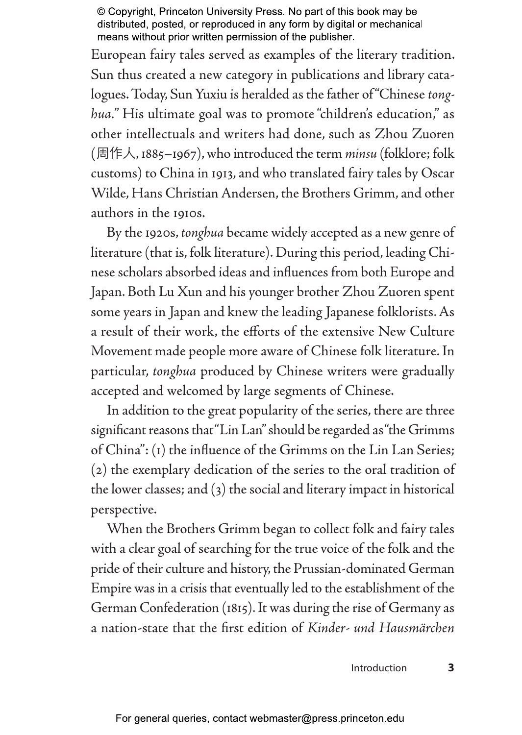European fairy tales served as examples of the literary tradition. Sun thus created a new category in publications and library catalogues. Today, Sun Yuxiu is heralded as the father of "Chinese *tonghua.*" His ultimate goal was to promote "children's education," as other intellectuals and writers had done, such as Zhou Zuoren (周作人, 1885–1967), who introduced the term *minsu* (folklore; folk customs) to China in 1913, and who translated fairy tales by Oscar Wilde, Hans Christian Andersen, the Brothers Grimm, and other authors in the 1910s.

By the 1920s, *tonghua* became widely accepted as a new genre of literature (that is, folk literature). During this period, leading Chinese scholars absorbed ideas and influences from both Europe and Japan. Both Lu Xun and his younger brother Zhou Zuoren spent some years in Japan and knew the leading Japanese folklorists. As a result of their work, the efforts of the extensive New Culture Movement made people more aware of Chinese folk literature. In particular, *tonghua* produced by Chinese writers were gradually accepted and welcomed by large segments of Chinese.

In addition to the great popularity of the series, there are three significant reasons that "Lin Lan" should be regarded as "the Grimms of China": (1) the influence of the Grimms on the Lin Lan Series; (2) the exemplary dedication of the series to the oral tradition of the lower classes; and (3) the social and literary impact in historical perspective.

When the Brothers Grimm began to collect folk and fairy tales with a clear goal of searching for the true voice of the folk and the pride of their culture and history, the Prussian-dominated German Empire was in a crisis that eventually led to the establishment of the German Confederation (1815). It was during the rise of Germany as a nation-state that the first edition of *Kinder- und Hausmärchen*

Introduction **3**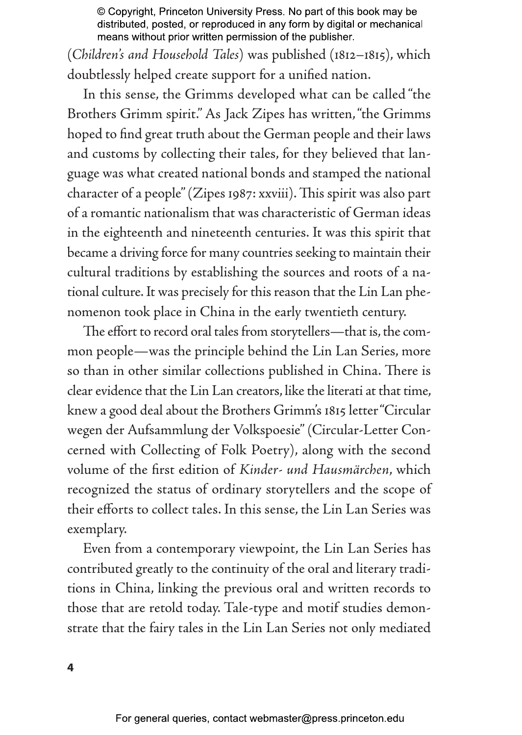(*Children's and Household Tales*) was published (1812–1815), which doubtlessly helped create support for a unified nation.

In this sense, the Grimms developed what can be called "the Brothers Grimm spirit." As Jack Zipes has written, "the Grimms hoped to find great truth about the German people and their laws and customs by collecting their tales, for they believed that language was what created national bonds and stamped the national character of a people" (Zipes 1987: xxviii). This spirit was also part of a romantic nationalism that was characteristic of German ideas in the eighteenth and nineteenth centuries. It was this spirit that became a driving force for many countries seeking to maintain their cultural traditions by establishing the sources and roots of a national culture. It was precisely for this reason that the Lin Lan phenomenon took place in China in the early twentieth century.

The effort to record oral tales from storytellers—that is, the common people—was the principle behind the Lin Lan Series, more so than in other similar collections published in China. There is clear evidence that the Lin Lan creators, like the literati at that time, knew a good deal about the Brothers Grimm's 1815 letter "Circular wegen der Aufsammlung der Volkspoesie" (Circular-Letter Concerned with Collecting of Folk Poetry), along with the second volume of the first edition of *Kinder- und Hausmärchen*, which recognized the status of ordinary storytellers and the scope of their efforts to collect tales. In this sense, the Lin Lan Series was exemplary.

Even from a contemporary viewpoint, the Lin Lan Series has contributed greatly to the continuity of the oral and literary traditions in China, linking the previous oral and written records to those that are retold today. Tale-type and motif studies demonstrate that the fairy tales in the Lin Lan Series not only mediated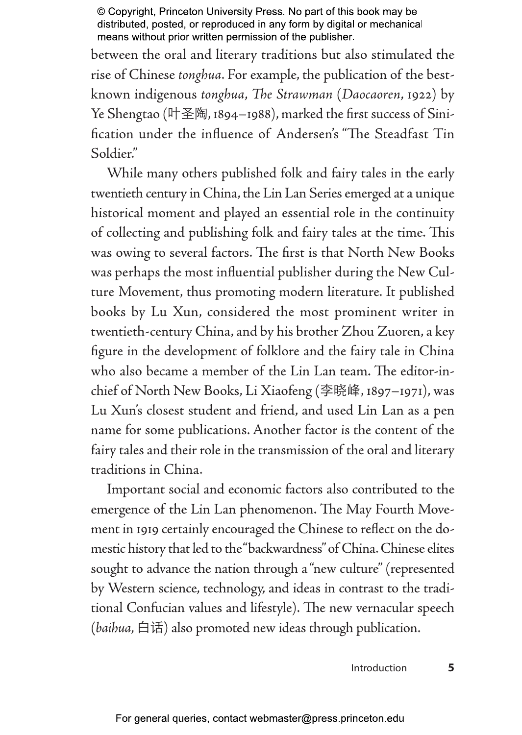between the oral and literary traditions but also stimulated the rise of Chinese *tonghua*. For example, the publication of the bestknown indigenous *tonghua*, *The Strawman* (*Daocaoren*, 1922) by Ye Shengtao (叶圣陶, 1894–1988), marked the first success of Sinification under the influence of Andersen's "The Steadfast Tin Soldier."

While many others published folk and fairy tales in the early twentieth century in China, the Lin Lan Series emerged at a unique historical moment and played an essential role in the continuity of collecting and publishing folk and fairy tales at the time. This was owing to several factors. The first is that North New Books was perhaps the most influential publisher during the New Culture Movement, thus promoting modern literature. It published books by Lu Xun, considered the most prominent writer in twentieth-century China, and by his brother Zhou Zuoren, a key figure in the development of folklore and the fairy tale in China who also became a member of the Lin Lan team. The editor-inchief of North New Books, Li Xiaofeng (李晓峰, 1897–1971), was Lu Xun's closest student and friend, and used Lin Lan as a pen name for some publications. Another factor is the content of the fairy tales and their role in the transmission of the oral and literary traditions in China.

Important social and economic factors also contributed to the emergence of the Lin Lan phenomenon. The May Fourth Movement in 1919 certainly encouraged the Chinese to reflect on the domestic history that led to the "backwardness" of China. Chinese elites sought to advance the nation through a "new culture" (represented by Western science, technology, and ideas in contrast to the traditional Confucian values and lifestyle). The new vernacular speech (*baihua*, 白话) also promoted new ideas through publication.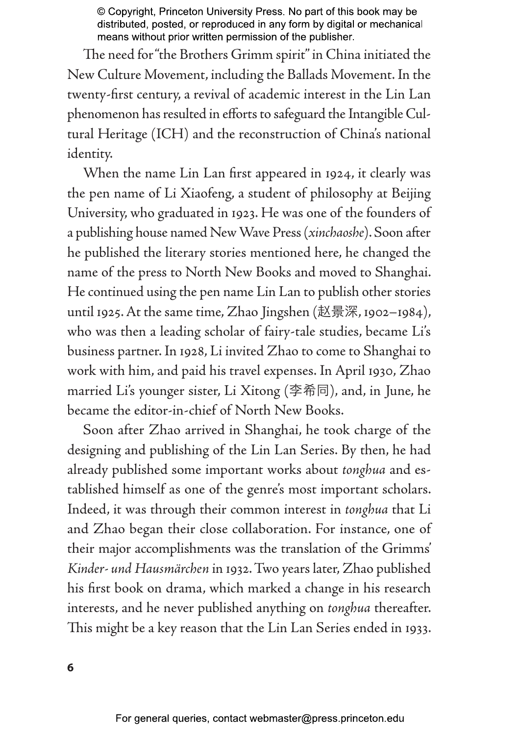The need for "the Brothers Grimm spirit" in China initiated the New Culture Movement, including the Ballads Movement. In the twenty-first century, a revival of academic interest in the Lin Lan phenomenon has resulted in efforts to safeguard the Intangible Cultural Heritage (ICH) and the reconstruction of China's national identity.

When the name Lin Lan first appeared in 1924, it clearly was the pen name of Li Xiaofeng, a student of philosophy at Beijing University, who graduated in 1923. He was one of the founders of a publishing house named New Wave Press (*xinchaoshe*). Soon after he published the literary stories mentioned here, he changed the name of the press to North New Books and moved to Shanghai. He continued using the pen name Lin Lan to publish other stories until 1925. At the same time, Zhao Jingshen (赵景深, 1902–1984), who was then a leading scholar of fairy-tale studies, became Li's business partner. In 1928, Li invited Zhao to come to Shanghai to work with him, and paid his travel expenses. In April 1930, Zhao married Li's younger sister, Li Xitong (李希同), and, in June, he became the editor-in-chief of North New Books.

Soon after Zhao arrived in Shanghai, he took charge of the designing and publishing of the Lin Lan Series. By then, he had already published some important works about *tonghua* and established himself as one of the genre's most important scholars. Indeed, it was through their common interest in *tonghua* that Li and Zhao began their close collaboration. For instance, one of their major accomplishments was the translation of the Grimms' *Kinder- und Hausmärchen* in 1932. Two years later, Zhao published his first book on drama, which marked a change in his research interests, and he never published anything on *tonghua* thereafter. This might be a key reason that the Lin Lan Series ended in 1933.

**6**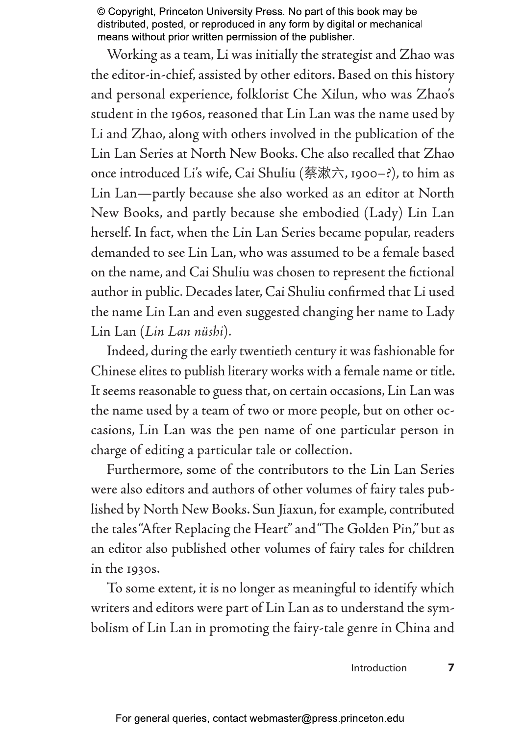Working as a team, Li was initially the strategist and Zhao was the editor-in-chief, assisted by other editors. Based on this history and personal experience, folklorist Che Xilun, who was Zhao's student in the 1960s, reasoned that Lin Lan was the name used by Li and Zhao, along with others involved in the publication of the Lin Lan Series at North New Books. Che also recalled that Zhao once introduced Li's wife, Cai Shuliu (蔡漱六, 1900–?), to him as Lin Lan—partly because she also worked as an editor at North New Books, and partly because she embodied (Lady) Lin Lan herself. In fact, when the Lin Lan Series became popular, readers demanded to see Lin Lan, who was assumed to be a female based on the name, and Cai Shuliu was chosen to represent the fictional author in public. Decades later, Cai Shuliu confirmed that Li used the name Lin Lan and even suggested changing her name to Lady Lin Lan (*Lin Lan nüshi*).

Indeed, during the early twentieth century it was fashionable for Chinese elites to publish literary works with a female name or title. It seems reasonable to guess that, on certain occasions, Lin Lan was the name used by a team of two or more people, but on other occasions, Lin Lan was the pen name of one particular person in charge of editing a particular tale or collection.

Furthermore, some of the contributors to the Lin Lan Series were also editors and authors of other volumes of fairy tales published by North New Books. Sun Jiaxun, for example, contributed the tales "After Replacing the Heart" and "The Golden Pin," but as an editor also published other volumes of fairy tales for children in the 1930s.

To some extent, it is no longer as meaningful to identify which writers and editors were part of Lin Lan as to understand the symbolism of Lin Lan in promoting the fairy-tale genre in China and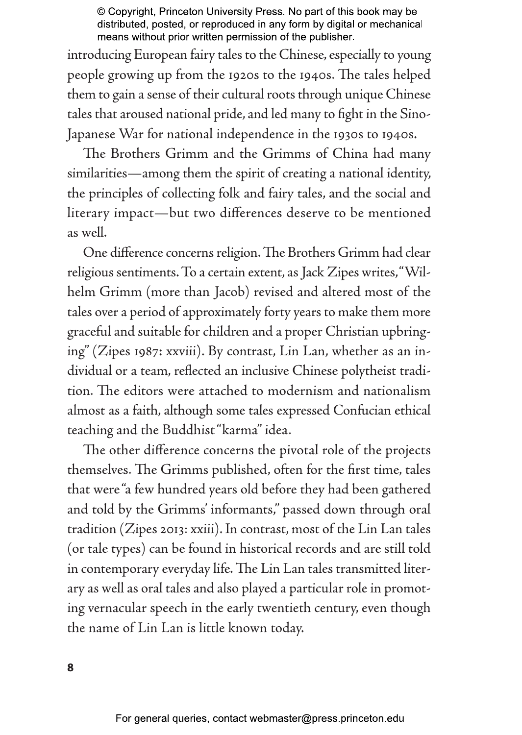introducing European fairy tales to the Chinese, especially to young people growing up from the 1920s to the 1940s. The tales helped them to gain a sense of their cultural roots through unique Chinese tales that aroused national pride, and led many to fight in the Sino-Japanese War for national independence in the 1930s to 1940s.

The Brothers Grimm and the Grimms of China had many similarities—among them the spirit of creating a national identity, the principles of collecting folk and fairy tales, and the social and literary impact—but two differences deserve to be mentioned as well.

One difference concerns religion. The Brothers Grimm had clear religious sentiments. To a certain extent, as Jack Zipes writes, "Wilhelm Grimm (more than Jacob) revised and altered most of the tales over a period of approximately forty years to make them more graceful and suitable for children and a proper Christian upbringing" (Zipes 1987: xxviii). By contrast, Lin Lan, whether as an individual or a team, reflected an inclusive Chinese polytheist tradition. The editors were attached to modernism and nationalism almost as a faith, although some tales expressed Confucian ethical teaching and the Buddhist "karma" idea.

The other difference concerns the pivotal role of the projects themselves. The Grimms published, often for the first time, tales that were "a few hundred years old before they had been gathered and told by the Grimms' informants," passed down through oral tradition (Zipes 2013: xxiii). In contrast, most of the Lin Lan tales (or tale types) can be found in historical records and are still told in contemporary everyday life. The Lin Lan tales transmitted literary as well as oral tales and also played a particular role in promoting vernacular speech in the early twentieth century, even though the name of Lin Lan is little known today.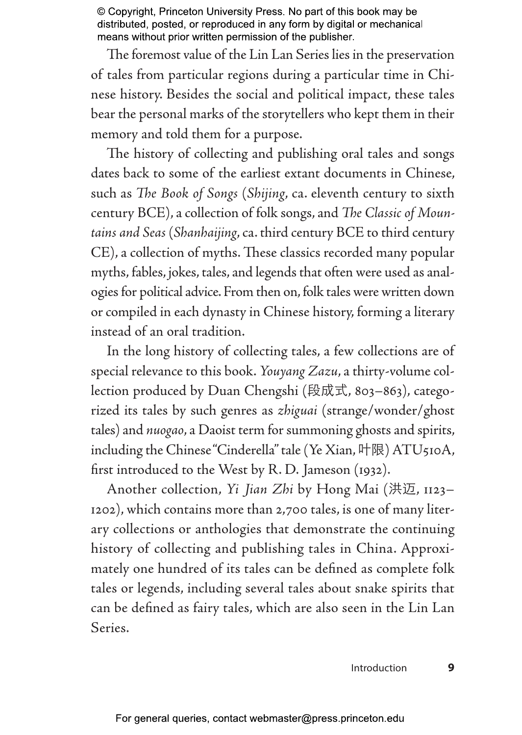The foremost value of the Lin Lan Series lies in the preservation of tales from particular regions during a particular time in Chinese history. Besides the social and political impact, these tales bear the personal marks of the storytellers who kept them in their memory and told them for a purpose.

The history of collecting and publishing oral tales and songs dates back to some of the earliest extant documents in Chinese, such as *The Book of Songs* (*Shijing*, ca. eleventh century to sixth century BCE), a collection of folk songs, and *The Classic of Mountains and Seas* (*Shanhaijing*, ca. third century BCE to third century CE), a collection of myths. These classics recorded many popular myths, fables, jokes, tales, and legends that often were used as analogies for political advice. From then on, folk tales were written down or compiled in each dynasty in Chinese history, forming a literary instead of an oral tradition.

In the long history of collecting tales, a few collections are of special relevance to this book. *Youyang Zazu*, a thirty-volume collection produced by Duan Chengshi (段成式, 803–863), categorized its tales by such genres as *zhiguai* (strange/wonder/ghost tales) and *nuogao*, a Daoist term for summoning ghosts and spirits, including the Chinese "Cinderella" tale (Ye Xian, 叶限) ATU510A, first introduced to the West by R. D. Jameson (1932).

Another collection, *Yi Jian Zhi* by Hong Mai (洪迈, 1123– 1202), which contains more than 2,700 tales, is one of many literary collections or anthologies that demonstrate the continuing history of collecting and publishing tales in China. Approximately one hundred of its tales can be defined as complete folk tales or legends, including several tales about snake spirits that can be defined as fairy tales, which are also seen in the Lin Lan Series.

Introduction **9**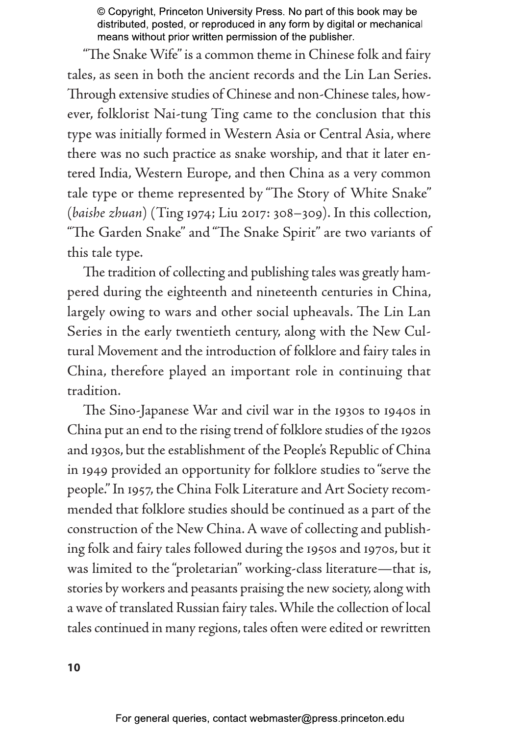"The Snake Wife" is a common theme in Chinese folk and fairy tales, as seen in both the ancient records and the Lin Lan Series. Through extensive studies of Chinese and non-Chinese tales, however, folklorist Nai-tung Ting came to the conclusion that this type was initially formed in Western Asia or Central Asia, where there was no such practice as snake worship, and that it later entered India, Western Europe, and then China as a very common tale type or theme represented by "The Story of White Snake" (*baishe zhuan*) (Ting 1974; Liu 2017: 308–309). In this collection, "The Garden Snake" and "The Snake Spirit" are two variants of this tale type.

The tradition of collecting and publishing tales was greatly hampered during the eighteenth and nineteenth centuries in China, largely owing to wars and other social upheavals. The Lin Lan Series in the early twentieth century, along with the New Cultural Movement and the introduction of folklore and fairy tales in China, therefore played an important role in continuing that tradition.

The Sino-Japanese War and civil war in the 1930s to 1940s in China put an end to the rising trend of folklore studies of the 1920s and 1930s, but the establishment of the People's Republic of China in 1949 provided an opportunity for folklore studies to "serve the people." In 1957, the China Folk Literature and Art Society recommended that folklore studies should be continued as a part of the construction of the New China. A wave of collecting and publishing folk and fairy tales followed during the 1950s and 1970s, but it was limited to the "proletarian" working-class literature—that is, stories by workers and peasants praising the new society, along with a wave of translated Russian fairy tales. While the collection of local tales continued in many regions, tales often were edited or rewritten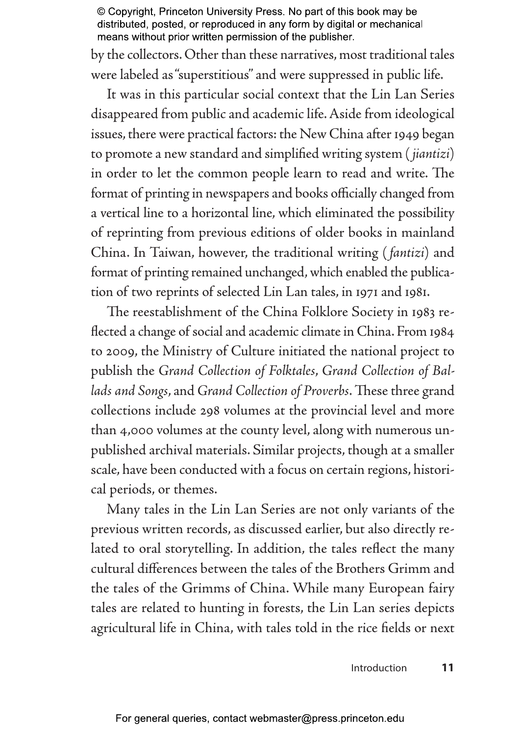by the collectors. Other than these narratives, most traditional tales were labeled as "superstitious" and were suppressed in public life.

It was in this particular social context that the Lin Lan Series disappeared from public and academic life. Aside from ideological issues, there were practical factors: the New China after 1949 began to promote a new standard and simplified writing system (*jiantizi*) in order to let the common people learn to read and write. The format of printing in newspapers and books officially changed from a vertical line to a horizontal line, which eliminated the possibility of reprinting from previous editions of older books in mainland China. In Taiwan, however, the traditional writing (*fantizi*) and format of printing remained unchanged, which enabled the publication of two reprints of selected Lin Lan tales, in 1971 and 1981.

The reestablishment of the China Folklore Society in 1983 reflected a change of social and academic climate in China. From 1984 to 2009, the Ministry of Culture initiated the national project to publish the *Grand Collection of Folktales*, *Grand Collection of Ballads and Songs*, and *Grand Collection of Proverbs*. These three grand collections include 298 volumes at the provincial level and more than 4,000 volumes at the county level, along with numerous unpublished archival materials. Similar projects, though at a smaller scale, have been conducted with a focus on certain regions, historical periods, or themes.

Many tales in the Lin Lan Series are not only variants of the previous written records, as discussed earlier, but also directly related to oral storytelling. In addition, the tales reflect the many cultural differences between the tales of the Brothers Grimm and the tales of the Grimms of China. While many European fairy tales are related to hunting in forests, the Lin Lan series depicts agricultural life in China, with tales told in the rice fields or next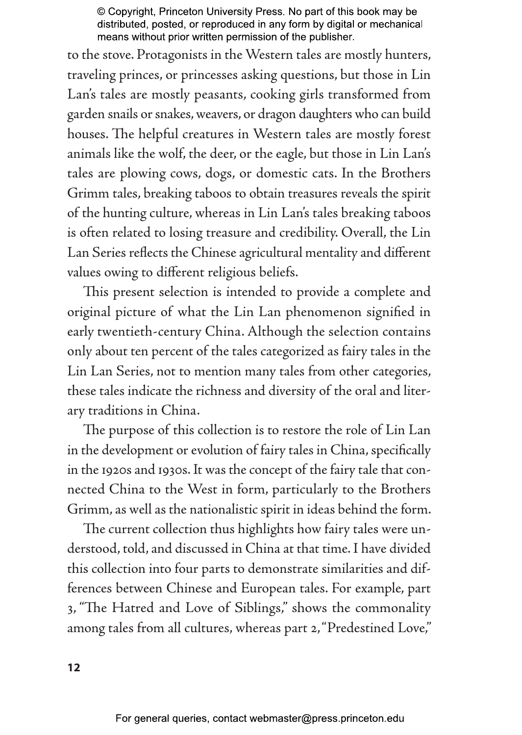to the stove. Protagonists in the Western tales are mostly hunters, traveling princes, or princesses asking questions, but those in Lin Lan's tales are mostly peasants, cooking girls transformed from garden snails or snakes, weavers, or dragon daughters who can build houses. The helpful creatures in Western tales are mostly forest animals like the wolf, the deer, or the eagle, but those in Lin Lan's tales are plowing cows, dogs, or domestic cats. In the Brothers Grimm tales, breaking taboos to obtain treasures reveals the spirit of the hunting culture, whereas in Lin Lan's tales breaking taboos is often related to losing treasure and credibility. Overall, the Lin Lan Series reflects the Chinese agricultural mentality and different values owing to different religious beliefs.

This present selection is intended to provide a complete and original picture of what the Lin Lan phenomenon signified in early twentieth-century China. Although the selection contains only about ten percent of the tales categorized as fairy tales in the Lin Lan Series, not to mention many tales from other categories, these tales indicate the richness and diversity of the oral and literary traditions in China.

The purpose of this collection is to restore the role of Lin Lan in the development or evolution of fairy tales in China, specifically in the 1920s and 1930s. It was the concept of the fairy tale that connected China to the West in form, particularly to the Brothers Grimm, as well as the nationalistic spirit in ideas behind the form.

The current collection thus highlights how fairy tales were understood, told, and discussed in China at that time. I have divided this collection into four parts to demonstrate similarities and differences between Chinese and European tales. For example, part 3, "The Hatred and Love of Siblings," shows the commonality among tales from all cultures, whereas part 2, "Predestined Love,"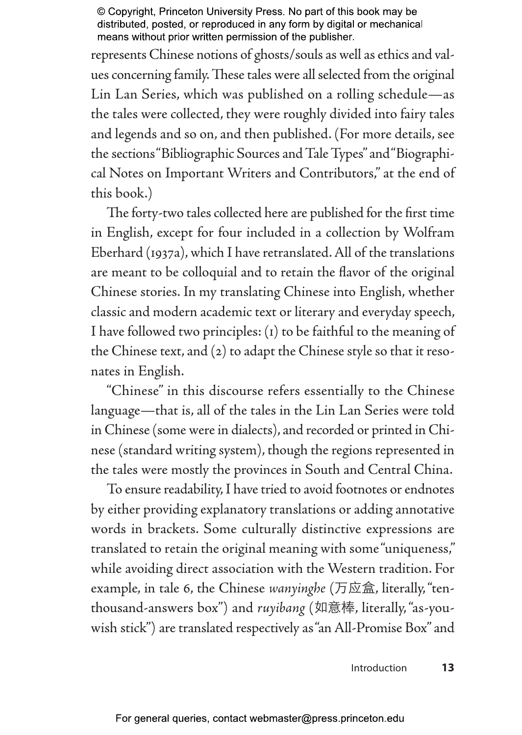represents Chinese notions of ghosts/souls as well as ethics and values concerning family. These tales were all selected from the original Lin Lan Series, which was published on a rolling schedule—as the tales were collected, they were roughly divided into fairy tales and legends and so on, and then published. (For more details, see the sections "Bibliographic Sources and Tale Types" and "Biographical Notes on Important Writers and Contributors," at the end of this book.)

The forty-two tales collected here are published for the first time in English, except for four included in a collection by Wolfram Eberhard (1937a), which I have retranslated. All of the translations are meant to be colloquial and to retain the flavor of the original Chinese stories. In my translating Chinese into English, whether classic and modern academic text or literary and everyday speech, I have followed two principles: (1) to be faithful to the meaning of the Chinese text, and (2) to adapt the Chinese style so that it resonates in English.

"Chinese" in this discourse refers essentially to the Chinese language—that is, all of the tales in the Lin Lan Series were told in Chinese (some were in dialects), and recorded or printed in Chinese (standard writing system), though the regions represented in the tales were mostly the provinces in South and Central China.

To ensure readability, I have tried to avoid footnotes or endnotes by either providing explanatory translations or adding annotative words in brackets. Some culturally distinctive expressions are translated to retain the original meaning with some "uniqueness," while avoiding direct association with the Western tradition. For example, in tale 6, the Chinese *wanyinghe* (万应盒, literally, "tenthousand-answers box") and *ruyibang* (如意棒, literally, "as-youwish stick") are translated respectively as "an All-Promise Box" and